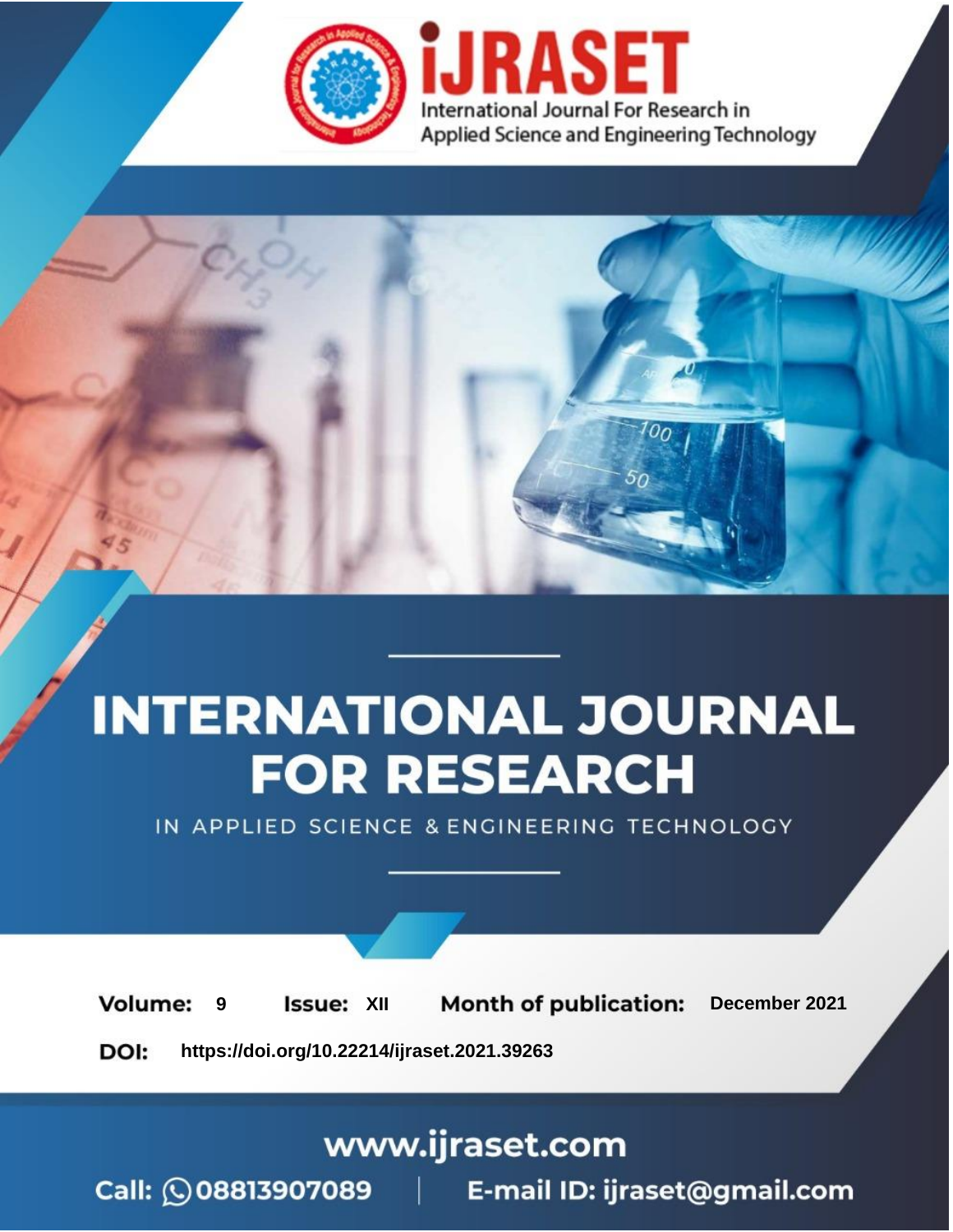

# **INTERNATIONAL JOURNAL FOR RESEARCH**

IN APPLIED SCIENCE & ENGINEERING TECHNOLOGY

**Month of publication: Volume: Issue: XII** December 2021 9 DOI: https://doi.org/10.22214/ijraset.2021.39263

www.ijraset.com

Call: 008813907089 | E-mail ID: ijraset@gmail.com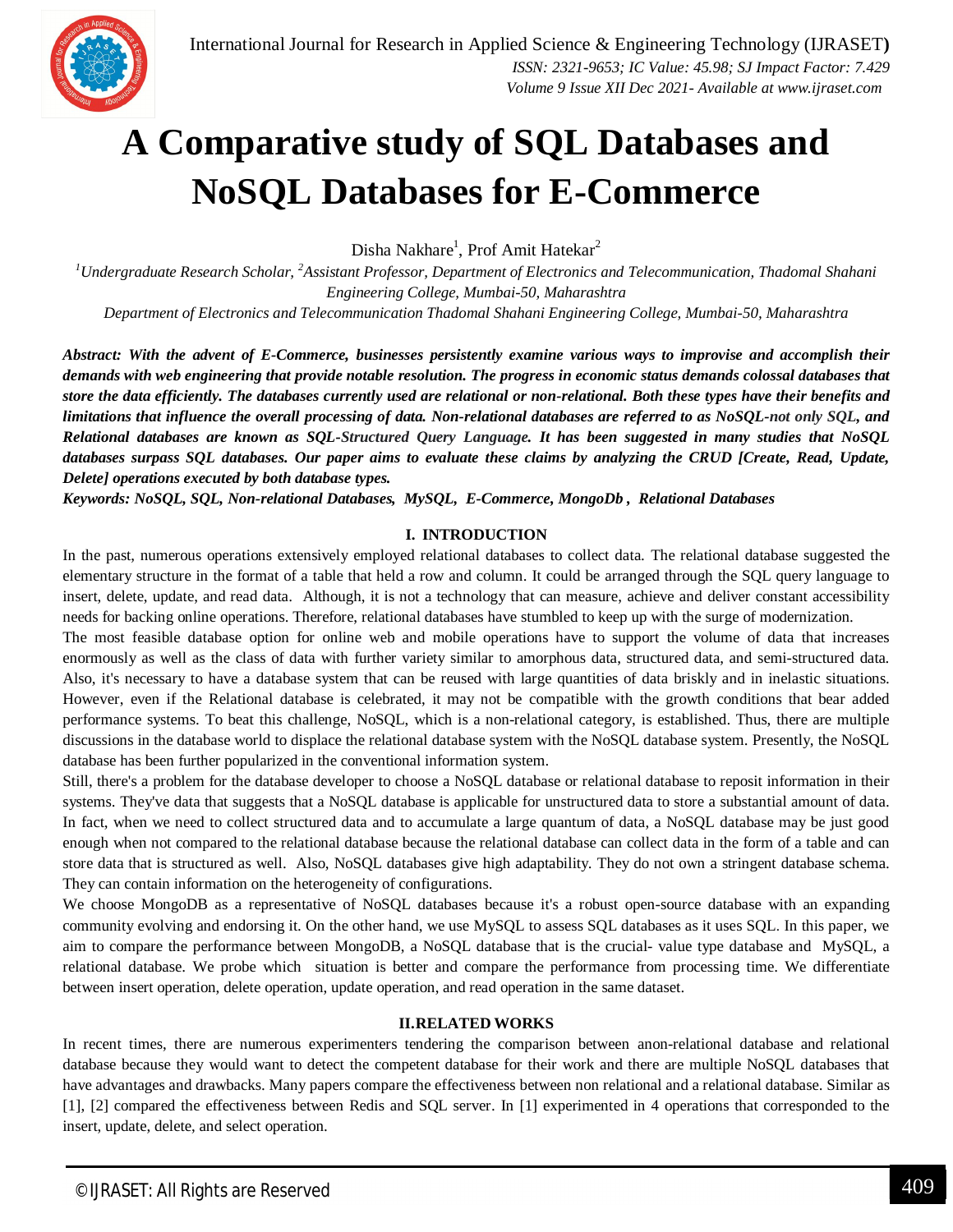

### **A Comparative study of SQL Databases and NoSQL Databases for E-Commerce**

Disha Nakhare<sup>1</sup>, Prof Amit Hatekar<sup>2</sup>

*<sup>1</sup>Undergraduate Research Scholar, <sup>2</sup>Assistant Professor, Department of Electronics and Telecommunication, Thadomal Shahani Engineering College, Mumbai-50, Maharashtra*

*Department of Electronics and Telecommunication Thadomal Shahani Engineering College, Mumbai-50, Maharashtra*

*Abstract: With the advent of E-Commerce, businesses persistently examine various ways to improvise and accomplish their demands with web engineering that provide notable resolution. The progress in economic status demands colossal databases that store the data efficiently. The databases currently used are relational or non-relational. Both these types have their benefits and limitations that influence the overall processing of data. Non-relational databases are referred to as NoSQL-not only SQL, and Relational databases are known as SQL-Structured Query Language. It has been suggested in many studies that NoSQL databases surpass SQL databases. Our paper aims to evaluate these claims by analyzing the CRUD [Create, Read, Update, Delete] operations executed by both database types.*

*Keywords: NoSQL, SQL, Non-relational Databases, MySQL, E-Commerce, MongoDb , Relational Databases*

#### **I. INTRODUCTION**

In the past, numerous operations extensively employed relational databases to collect data. The relational database suggested the elementary structure in the format of a table that held a row and column. It could be arranged through the SQL query language to insert, delete, update, and read data. Although, it is not a technology that can measure, achieve and deliver constant accessibility needs for backing online operations. Therefore, relational databases have stumbled to keep up with the surge of modernization.

The most feasible database option for online web and mobile operations have to support the volume of data that increases enormously as well as the class of data with further variety similar to amorphous data, structured data, and semi-structured data. Also, it's necessary to have a database system that can be reused with large quantities of data briskly and in inelastic situations. However, even if the Relational database is celebrated, it may not be compatible with the growth conditions that bear added performance systems. To beat this challenge, NoSQL, which is a non-relational category, is established. Thus, there are multiple discussions in the database world to displace the relational database system with the NoSQL database system. Presently, the NoSQL database has been further popularized in the conventional information system.

Still, there's a problem for the database developer to choose a NoSQL database or relational database to reposit information in their systems. They've data that suggests that a NoSQL database is applicable for unstructured data to store a substantial amount of data. In fact, when we need to collect structured data and to accumulate a large quantum of data, a NoSQL database may be just good enough when not compared to the relational database because the relational database can collect data in the form of a table and can store data that is structured as well. Also, NoSQL databases give high adaptability. They do not own a stringent database schema. They can contain information on the heterogeneity of configurations.

We choose MongoDB as a representative of NoSQL databases because it's a robust open-source database with an expanding community evolving and endorsing it. On the other hand, we use MySQL to assess SQL databases as it uses SQL. In this paper, we aim to compare the performance between MongoDB, a NoSQL database that is the crucial- value type database and MySQL, a relational database. We probe which situation is better and compare the performance from processing time. We differentiate between insert operation, delete operation, update operation, and read operation in the same dataset.

#### **II.RELATED WORKS**

In recent times, there are numerous experimenters tendering the comparison between anon-relational database and relational database because they would want to detect the competent database for their work and there are multiple NoSQL databases that have advantages and drawbacks. Many papers compare the effectiveness between non relational and a relational database. Similar as [1], [2] compared the effectiveness between Redis and SQL server. In [1] experimented in 4 operations that corresponded to the insert, update, delete, and select operation.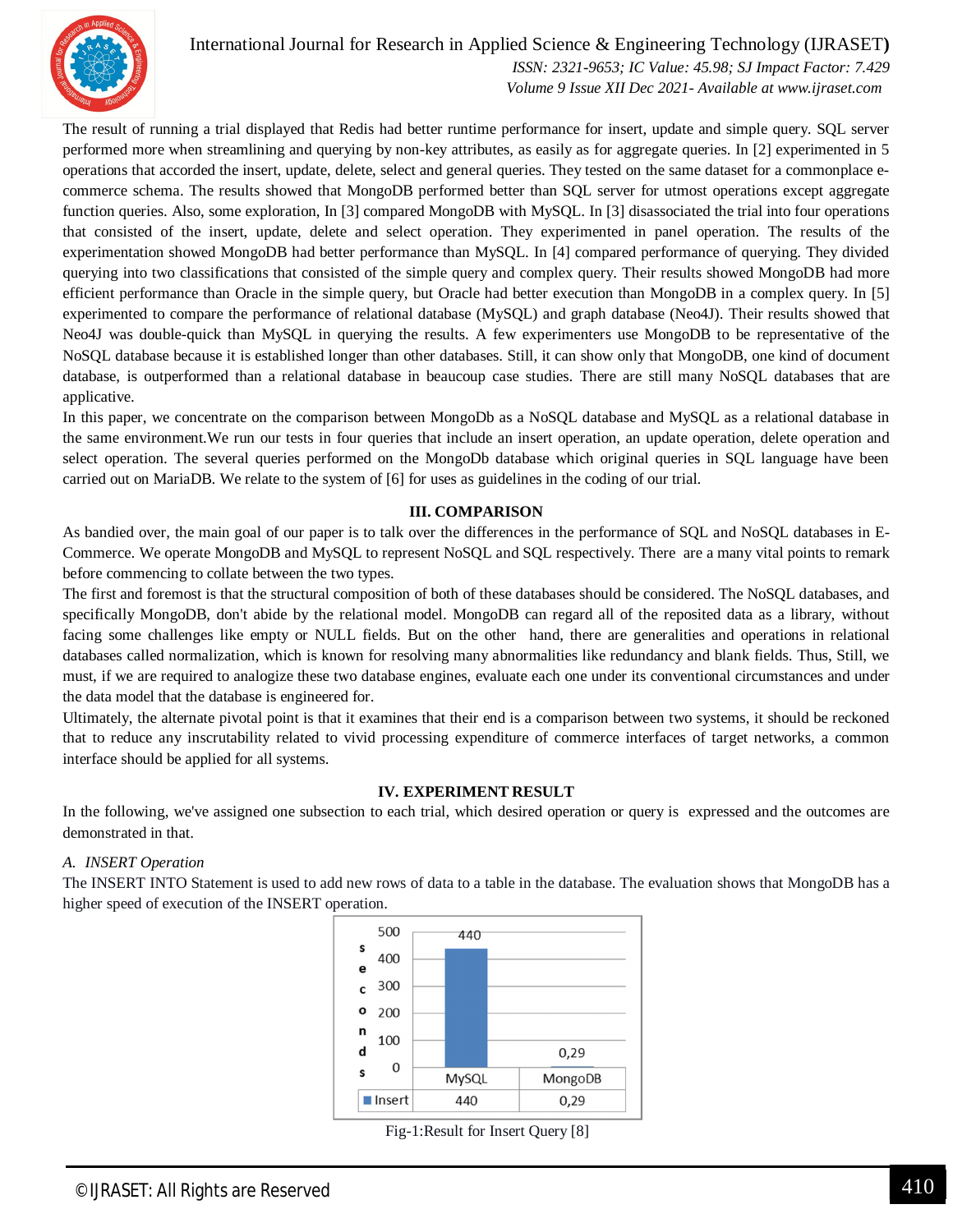

International Journal for Research in Applied Science & Engineering Technology (IJRASET**)**  *ISSN: 2321-9653; IC Value: 45.98; SJ Impact Factor: 7.429*

 *Volume 9 Issue XII Dec 2021- Available at www.ijraset.com*

The result of running a trial displayed that Redis had better runtime performance for insert, update and simple query. SQL server performed more when streamlining and querying by non-key attributes, as easily as for aggregate queries. In [2] experimented in 5 operations that accorded the insert, update, delete, select and general queries. They tested on the same dataset for a commonplace ecommerce schema. The results showed that MongoDB performed better than SQL server for utmost operations except aggregate function queries. Also, some exploration, In [3] compared MongoDB with MySQL. In [3] disassociated the trial into four operations that consisted of the insert, update, delete and select operation. They experimented in panel operation. The results of the experimentation showed MongoDB had better performance than MySQL. In [4] compared performance of querying. They divided querying into two classifications that consisted of the simple query and complex query. Their results showed MongoDB had more efficient performance than Oracle in the simple query, but Oracle had better execution than MongoDB in a complex query. In [5] experimented to compare the performance of relational database (MySQL) and graph database (Neo4J). Their results showed that Neo4J was double-quick than MySQL in querying the results. A few experimenters use MongoDB to be representative of the NoSQL database because it is established longer than other databases. Still, it can show only that MongoDB, one kind of document database, is outperformed than a relational database in beaucoup case studies. There are still many NoSQL databases that are applicative.

In this paper, we concentrate on the comparison between MongoDb as a NoSQL database and MySQL as a relational database in the same environment.We run our tests in four queries that include an insert operation, an update operation, delete operation and select operation. The several queries performed on the MongoDb database which original queries in SQL language have been carried out on MariaDB. We relate to the system of [6] for uses as guidelines in the coding of our trial.

#### **III. COMPARISON**

As bandied over, the main goal of our paper is to talk over the differences in the performance of SQL and NoSQL databases in E-Commerce. We operate MongoDB and MySQL to represent NoSQL and SQL respectively. There are a many vital points to remark before commencing to collate between the two types.

The first and foremost is that the structural composition of both of these databases should be considered. The NoSQL databases, and specifically MongoDB, don't abide by the relational model. MongoDB can regard all of the reposited data as a library, without facing some challenges like empty or NULL fields. But on the other hand, there are generalities and operations in relational databases called normalization, which is known for resolving many abnormalities like redundancy and blank fields. Thus, Still, we must, if we are required to analogize these two database engines, evaluate each one under its conventional circumstances and under the data model that the database is engineered for.

Ultimately, the alternate pivotal point is that it examines that their end is a comparison between two systems, it should be reckoned that to reduce any inscrutability related to vivid processing expenditure of commerce interfaces of target networks, a common interface should be applied for all systems.

#### **IV. EXPERIMENT RESULT**

In the following, we've assigned one subsection to each trial, which desired operation or query is expressed and the outcomes are demonstrated in that.

#### *A. INSERT Operation*

The INSERT INTO Statement is used to add new rows of data to a table in the database. The evaluation shows that MongoDB has a higher speed of execution of the INSERT operation.



Fig-1:Result for Insert Query [8]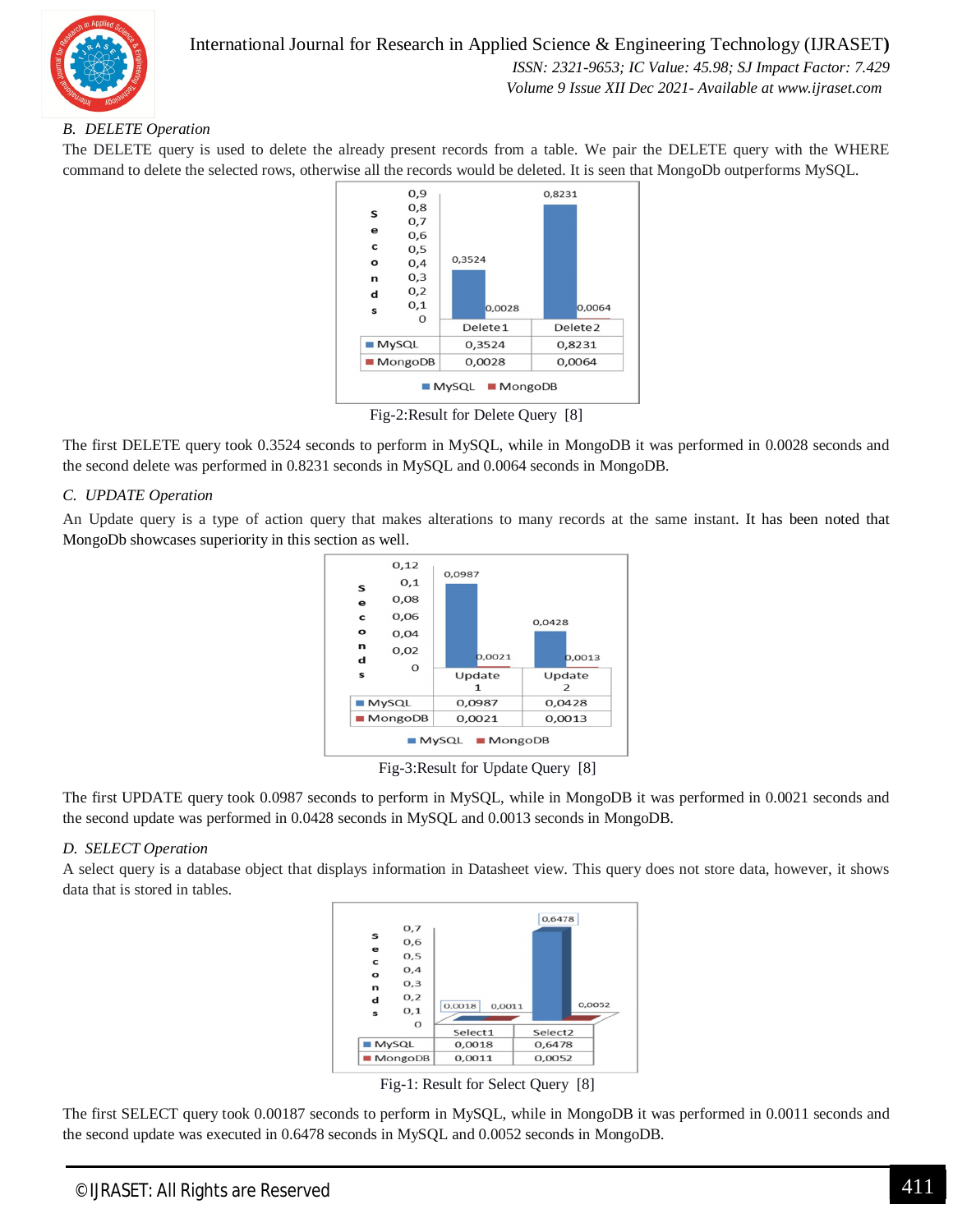

#### *B. DELETE Operation*

The DELETE query is used to delete the already present records from a table. We pair the DELETE query with the WHERE command to delete the selected rows, otherwise all the records would be deleted. It is seen that MongoDb outperforms MySQL.



Fig-2:Result for Delete Query [8]

The first DELETE query took 0.3524 seconds to perform in MySQL, while in MongoDB it was performed in 0.0028 seconds and the second delete was performed in 0.8231 seconds in MySQL and 0.0064 seconds in MongoDB.

#### *C. UPDATE Operation*

An Update query is a type of action query that makes alterations to many records at the same instant. It has been noted that MongoDb showcases superiority in this section as well.



Fig-3:Result for Update Query [8]

The first UPDATE query took 0.0987 seconds to perform in MySQL, while in MongoDB it was performed in 0.0021 seconds and the second update was performed in 0.0428 seconds in MySQL and 0.0013 seconds in MongoDB.

#### *D. SELECT Operation*

A select query is a database object that displays information in Datasheet view. This query does not store data, however, it shows data that is stored in tables.



Fig-1: Result for Select Query [8]

The first SELECT query took 0.00187 seconds to perform in MySQL, while in MongoDB it was performed in 0.0011 seconds and the second update was executed in 0.6478 seconds in MySQL and 0.0052 seconds in MongoDB.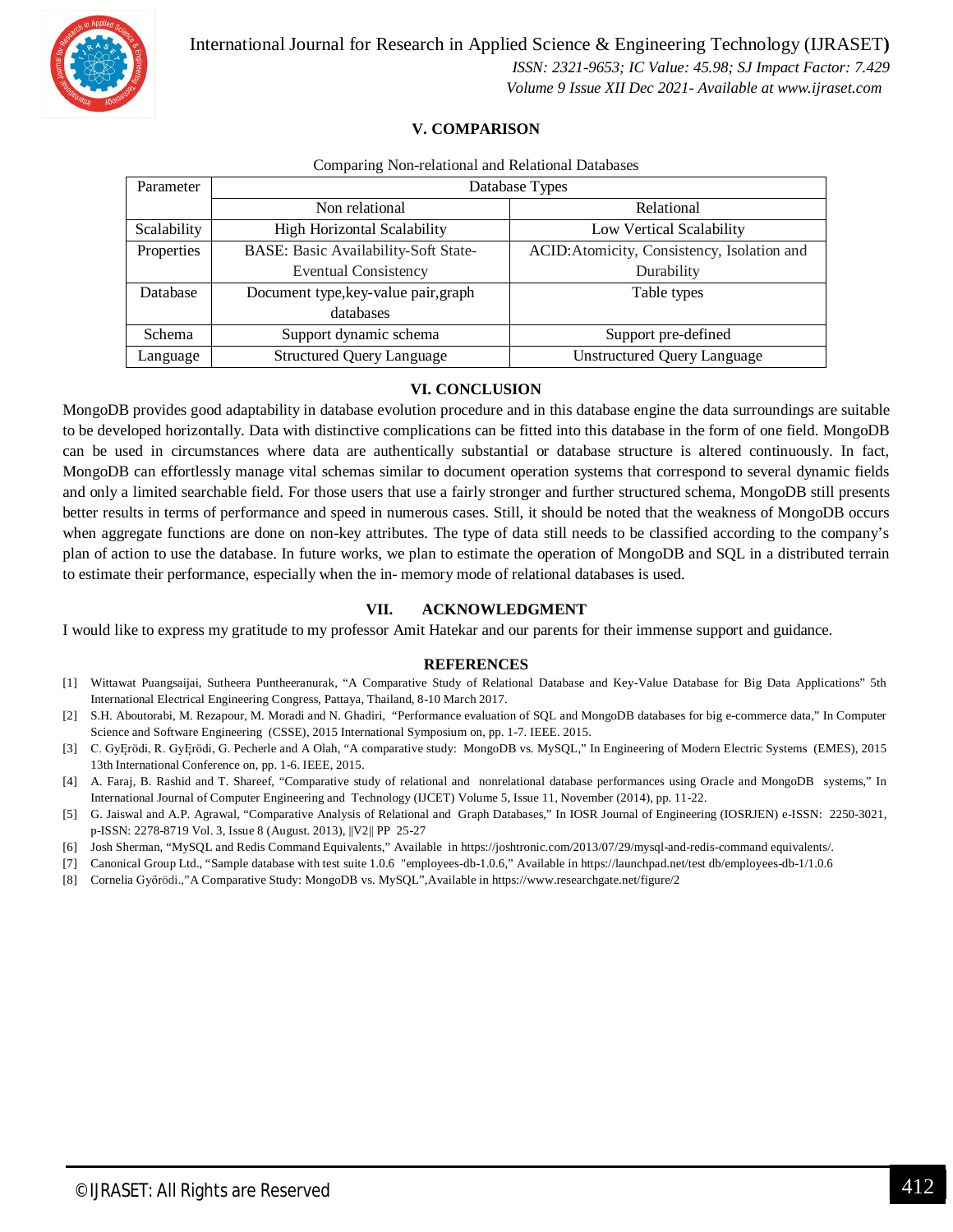

International Journal for Research in Applied Science & Engineering Technology (IJRASET**)**  *ISSN: 2321-9653; IC Value: 45.98; SJ Impact Factor: 7.429 Volume 9 Issue XII Dec 2021- Available at www.ijraset.com*

#### **V. COMPARISON**

| Comparing Non-relational and Relational Databases |  |  |  |  |
|---------------------------------------------------|--|--|--|--|
|---------------------------------------------------|--|--|--|--|

| Parameter   | Database Types                       |                                             |  |
|-------------|--------------------------------------|---------------------------------------------|--|
|             | Non relational                       | Relational                                  |  |
| Scalability | <b>High Horizontal Scalability</b>   | Low Vertical Scalability                    |  |
| Properties  | BASE: Basic Availability-Soft State- | ACID: Atomicity, Consistency, Isolation and |  |
|             | <b>Eventual Consistency</b>          | Durability                                  |  |
| Database    | Document type, key-value pair, graph | Table types                                 |  |
|             | databases                            |                                             |  |
| Schema      | Support dynamic schema               | Support pre-defined                         |  |
| Language    | <b>Structured Query Language</b>     | <b>Unstructured Query Language</b>          |  |

#### **VI. CONCLUSION**

MongoDB provides good adaptability in database evolution procedure and in this database engine the data surroundings are suitable to be developed horizontally. Data with distinctive complications can be fitted into this database in the form of one field. MongoDB can be used in circumstances where data are authentically substantial or database structure is altered continuously. In fact, MongoDB can effortlessly manage vital schemas similar to document operation systems that correspond to several dynamic fields and only a limited searchable field. For those users that use a fairly stronger and further structured schema, MongoDB still presents better results in terms of performance and speed in numerous cases. Still, it should be noted that the weakness of MongoDB occurs when aggregate functions are done on non-key attributes. The type of data still needs to be classified according to the company's plan of action to use the database. In future works, we plan to estimate the operation of MongoDB and SQL in a distributed terrain to estimate their performance, especially when the in- memory mode of relational databases is used.

#### **VII. ACKNOWLEDGMENT**

I would like to express my gratitude to my professor Amit Hatekar and our parents for their immense support and guidance.

#### **REFERENCES**

- [1] Wittawat Puangsaijai, Sutheera Puntheeranurak, "A Comparative Study of Relational Database and Key-Value Database for Big Data Applications" 5th International Electrical Engineering Congress, Pattaya, Thailand, 8-10 March 2017.
- [2] S.H. Aboutorabi, M. Rezapour, M. Moradi and N. Ghadiri, "Performance evaluation of SQL and MongoDB databases for big e-commerce data," In Computer Science and Software Engineering (CSSE), 2015 International Symposium on, pp. 1-7. IEEE. 2015.
- [3] C. GyĘrödi, R. GyĘrödi, G. Pecherle and A Olah, "A comparative study: MongoDB vs. MySQL," In Engineering of Modern Electric Systems (EMES), 2015 13th International Conference on, pp. 1-6. IEEE, 2015.
- [4] A. Faraj, B. Rashid and T. Shareef, "Comparative study of relational and nonrelational database performances using Oracle and MongoDB systems," In International Journal of Computer Engineering and Technology (IJCET) Volume 5, Issue 11, November (2014), pp. 11-22.
- [5] G. Jaiswal and A.P. Agrawal, "Comparative Analysis of Relational and Graph Databases," In IOSR Journal of Engineering (IOSRJEN) e-ISSN: 2250-3021, p-ISSN: 2278-8719 Vol. 3, Issue 8 (August. 2013), ||V2|| PP 25-27
- [6] Josh Sherman, "MySQL and Redis Command Equivalents," Available in https://joshtronic.com/2013/07/29/mysql-and-redis-command equivalents/.
- [7] Canonical Group Ltd., "Sample database with test suite 1.0.6 "employees-db-1.0.6," Available in https://launchpad.net/test db/employees-db-1/1.0.6
- [8] Cornelia Győrödi.,"A Comparative Study: MongoDB vs. MySQL",Available in https://www.researchgate.net/figure/2